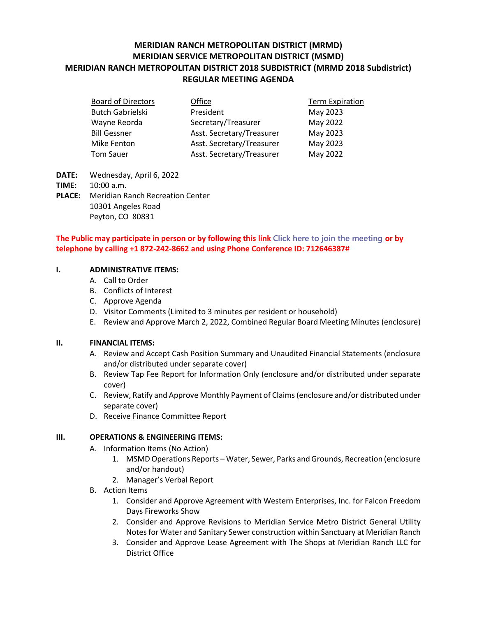# **MERIDIAN RANCH METROPOLITAN DISTRICT (MRMD) MERIDIAN SERVICE METROPOLITAN DISTRICT (MSMD) MERIDIAN RANCH METROPOLITAN DISTRICT 2018 SUBDISTRICT (MRMD 2018 Subdistrict) REGULAR MEETING AGENDA**

| <b>Board of Directors</b> | Office                    | <b>Term Expiration</b> |
|---------------------------|---------------------------|------------------------|
| <b>Butch Gabrielski</b>   | President                 | May 2023               |
| Wayne Reorda              | Secretary/Treasurer       | May 2022               |
| <b>Bill Gessner</b>       | Asst. Secretary/Treasurer | May 2023               |
| <b>Mike Fenton</b>        | Asst. Secretary/Treasurer | May 2023               |
| <b>Tom Sauer</b>          | Asst. Secretary/Treasurer | May 2022               |

- **DATE:** Wednesday, April 6, 2022
- **TIME:** 10:00 a.m.
- **PLACE:** Meridian Ranch Recreation Center 10301 Angeles Road Peyton, CO 80831

# **The Public may participate in person or by following this link [Click here to join the meeting](https://teams.microsoft.com/l/meetup-join/19%3ameeting_YzgxMzhmN2UtODY0My00NDE2LWFjNWQtYzNjMzBiZWU1MWRl%40thread.v2/0?context=%7b%22Tid%22%3a%22ddbf1e07-ec1e-4dc6-8ef3-1a31c2da785b%22%2c%22Oid%22%3a%22778ad138-ba67-4d4d-bdb1-39557c30639d%22%7d) or by telephone by calling +1 872-242-8662 and using Phone Conference ID: 712646387**#

## **I. ADMINISTRATIVE ITEMS:**

- A. Call to Order
- B. Conflicts of Interest
- C. Approve Agenda
- D. Visitor Comments (Limited to 3 minutes per resident or household)
- E. Review and Approve March 2, 2022, Combined Regular Board Meeting Minutes (enclosure)

### **II. FINANCIAL ITEMS:**

- A. Review and Accept Cash Position Summary and Unaudited Financial Statements (enclosure and/or distributed under separate cover)
- B. Review Tap Fee Report for Information Only (enclosure and/or distributed under separate cover)
- C. Review, Ratify and Approve Monthly Payment of Claims (enclosure and/or distributed under separate cover)
- D. Receive Finance Committee Report

# **III. OPERATIONS & ENGINEERING ITEMS:**

- A. Information Items (No Action)
	- 1. MSMD Operations Reports Water, Sewer, Parks and Grounds, Recreation (enclosure and/or handout)
	- 2. Manager's Verbal Report
- B. Action Items
	- 1. Consider and Approve Agreement with Western Enterprises, Inc. for Falcon Freedom Days Fireworks Show
	- 2. Consider and Approve Revisions to Meridian Service Metro District General Utility Notes for Water and Sanitary Sewer construction within Sanctuary at Meridian Ranch
	- 3. Consider and Approve Lease Agreement with The Shops at Meridian Ranch LLC for District Office